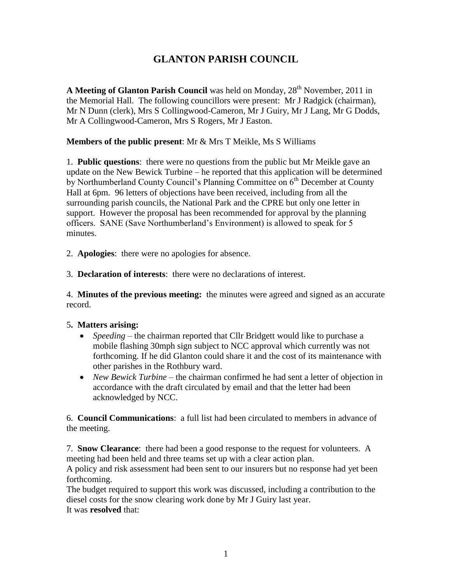# **GLANTON PARISH COUNCIL**

A Meeting of Glanton Parish Council was held on Monday, 28<sup>th</sup> November, 2011 in the Memorial Hall. The following councillors were present: Mr J Radgick (chairman), Mr N Dunn (clerk), Mrs S Collingwood-Cameron, Mr J Guiry, Mr J Lang, Mr G Dodds, Mr A Collingwood-Cameron, Mrs S Rogers, Mr J Easton.

### **Members of the public present**: Mr & Mrs T Meikle, Ms S Williams

1. **Public questions**: there were no questions from the public but Mr Meikle gave an update on the New Bewick Turbine – he reported that this application will be determined by Northumberland County Council's Planning Committee on  $6<sup>th</sup>$  December at County Hall at 6pm. 96 letters of objections have been received, including from all the surrounding parish councils, the National Park and the CPRE but only one letter in support. However the proposal has been recommended for approval by the planning officers. SANE (Save Northumberland's Environment) is allowed to speak for 5 minutes.

2. **Apologies**: there were no apologies for absence.

3. **Declaration of interests**: there were no declarations of interest.

4. **Minutes of the previous meeting:** the minutes were agreed and signed as an accurate record.

#### 5**. Matters arising:**

- *Speeding* the chairman reported that Cllr Bridgett would like to purchase a mobile flashing 30mph sign subject to NCC approval which currently was not forthcoming. If he did Glanton could share it and the cost of its maintenance with other parishes in the Rothbury ward.
- *New Bewick Turbine* the chairman confirmed he had sent a letter of objection in accordance with the draft circulated by email and that the letter had been acknowledged by NCC.

6. **Council Communications**: a full list had been circulated to members in advance of the meeting.

7. **Snow Clearance**: there had been a good response to the request for volunteers. A meeting had been held and three teams set up with a clear action plan.

A policy and risk assessment had been sent to our insurers but no response had yet been forthcoming.

The budget required to support this work was discussed, including a contribution to the diesel costs for the snow clearing work done by Mr J Guiry last year. It was **resolved** that: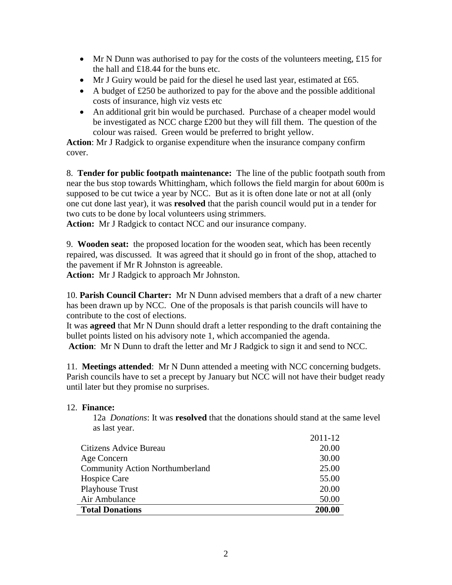- Mr N Dunn was authorised to pay for the costs of the volunteers meeting, £15 for the hall and £18.44 for the buns etc.
- Mr J Guiry would be paid for the diesel he used last year, estimated at £65.
- A budget of  $\text{\pounds}250$  be authorized to pay for the above and the possible additional costs of insurance, high viz vests etc
- An additional grit bin would be purchased. Purchase of a cheaper model would be investigated as NCC charge £200 but they will fill them. The question of the colour was raised. Green would be preferred to bright yellow.

**Action**: Mr J Radgick to organise expenditure when the insurance company confirm cover.

8. **Tender for public footpath maintenance:** The line of the public footpath south from near the bus stop towards Whittingham, which follows the field margin for about 600m is supposed to be cut twice a year by NCC. But as it is often done late or not at all (only one cut done last year), it was **resolved** that the parish council would put in a tender for two cuts to be done by local volunteers using strimmers.

**Action:** Mr J Radgick to contact NCC and our insurance company.

9. **Wooden seat:** the proposed location for the wooden seat, which has been recently repaired, was discussed. It was agreed that it should go in front of the shop, attached to the pavement if Mr R Johnston is agreeable.

**Action:** Mr J Radgick to approach Mr Johnston.

10. **Parish Council Charter:** Mr N Dunn advised members that a draft of a new charter has been drawn up by NCC. One of the proposals is that parish councils will have to contribute to the cost of elections.

It was **agreed** that Mr N Dunn should draft a letter responding to the draft containing the bullet points listed on his advisory note 1, which accompanied the agenda. **Action**: Mr N Dunn to draft the letter and Mr J Radgick to sign it and send to NCC.

11. **Meetings attended**: Mr N Dunn attended a meeting with NCC concerning budgets. Parish councils have to set a precept by January but NCC will not have their budget ready until later but they promise no surprises.

#### 12. **Finance:**

12a *Donations*: It was **resolved** that the donations should stand at the same level as last year.  $2011 - 12$ 

|                                        | 2011-12 |
|----------------------------------------|---------|
| Citizens Advice Bureau                 | 20.00   |
| Age Concern                            | 30.00   |
| <b>Community Action Northumberland</b> | 25.00   |
| Hospice Care                           | 55.00   |
| <b>Playhouse Trust</b>                 | 20.00   |
| Air Ambulance                          | 50.00   |
| <b>Total Donations</b>                 | 200.00  |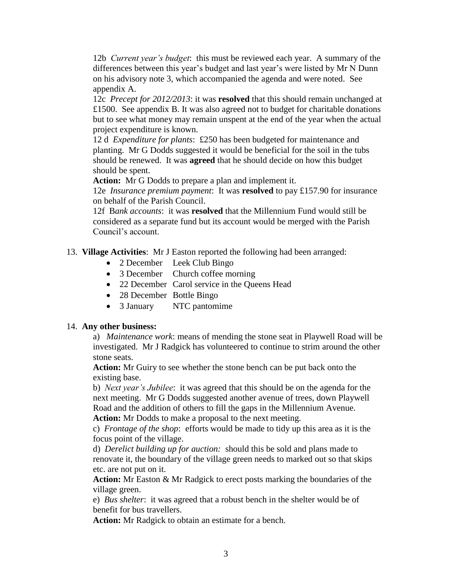12b *Current year's budget*: this must be reviewed each year. A summary of the differences between this year's budget and last year's were listed by Mr N Dunn on his advisory note 3, which accompanied the agenda and were noted. See appendix A.

12c *Precept for 2012/2013*: it was **resolved** that this should remain unchanged at £1500. See appendix B. It was also agreed not to budget for charitable donations but to see what money may remain unspent at the end of the year when the actual project expenditure is known.

12 d *Expenditure for plants*: £250 has been budgeted for maintenance and planting. Mr G Dodds suggested it would be beneficial for the soil in the tubs should be renewed. It was **agreed** that he should decide on how this budget should be spent.

**Action:** Mr G Dodds to prepare a plan and implement it.

12e *Insurance premium payment*: It was **resolved** to pay £157.90 for insurance on behalf of the Parish Council.

12f B*ank accounts*: it was **resolved** that the Millennium Fund would still be considered as a separate fund but its account would be merged with the Parish Council's account.

13. **Village Activities**: Mr J Easton reported the following had been arranged:

- 2 December Leek Club Bingo
- 3 December Church coffee morning
- 22 December Carol service in the Queens Head
- 28 December Bottle Bingo
- 3 January NTC pantomime

#### 14. **Any other business:**

a) *Maintenance work*: means of mending the stone seat in Playwell Road will be investigated. Mr J Radgick has volunteered to continue to strim around the other stone seats.

**Action:** Mr Guiry to see whether the stone bench can be put back onto the existing base.

b) *Next year's Jubilee*: it was agreed that this should be on the agenda for the next meeting. Mr G Dodds suggested another avenue of trees, down Playwell Road and the addition of others to fill the gaps in the Millennium Avenue. **Action:** Mr Dodds to make a proposal to the next meeting.

c) *Frontage of the shop*: efforts would be made to tidy up this area as it is the focus point of the village.

d) *Derelict building up for auction:* should this be sold and plans made to renovate it, the boundary of the village green needs to marked out so that skips etc. are not put on it.

**Action:** Mr Easton & Mr Radgick to erect posts marking the boundaries of the village green.

e) *Bus shelter*: it was agreed that a robust bench in the shelter would be of benefit for bus travellers.

**Action:** Mr Radgick to obtain an estimate for a bench.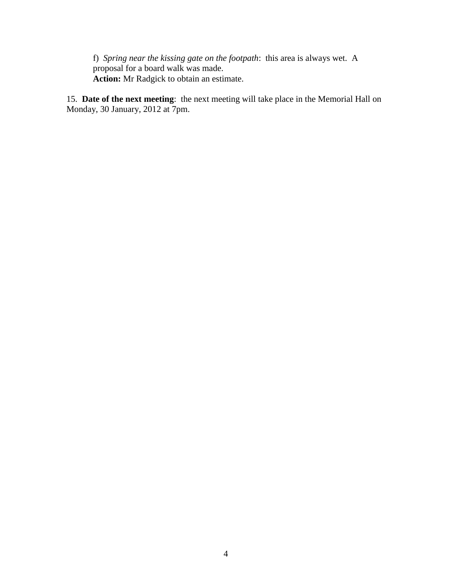f) *Spring near the kissing gate on the footpath*: this area is always wet. A proposal for a board walk was made. **Action:** Mr Radgick to obtain an estimate.

15. **Date of the next meeting**: the next meeting will take place in the Memorial Hall on Monday, 30 January, 2012 at 7pm.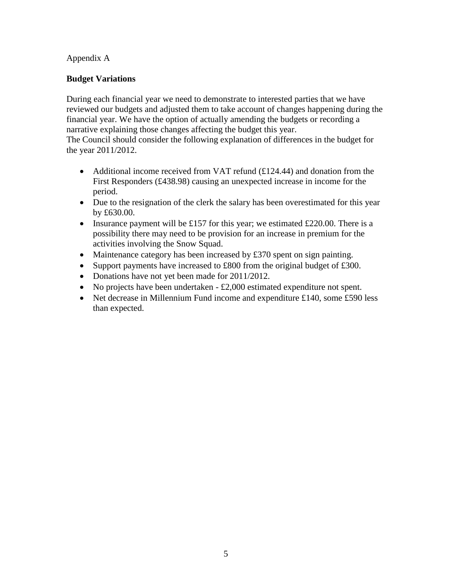## Appendix A

## **Budget Variations**

During each financial year we need to demonstrate to interested parties that we have reviewed our budgets and adjusted them to take account of changes happening during the financial year. We have the option of actually amending the budgets or recording a narrative explaining those changes affecting the budget this year.

The Council should consider the following explanation of differences in the budget for the year 2011/2012.

- Additional income received from VAT refund  $(£124.44)$  and donation from the First Responders (£438.98) causing an unexpected increase in income for the period.
- Due to the resignation of the clerk the salary has been overestimated for this year by £630.00.
- Insurance payment will be £157 for this year; we estimated £220.00. There is a possibility there may need to be provision for an increase in premium for the activities involving the Snow Squad.
- Maintenance category has been increased by £370 spent on sign painting.
- Support payments have increased to £800 from the original budget of £300.
- Donations have not yet been made for 2011/2012.
- $\bullet$  No projects have been undertaken £2,000 estimated expenditure not spent.
- Net decrease in Millennium Fund income and expenditure £140, some £590 less than expected.